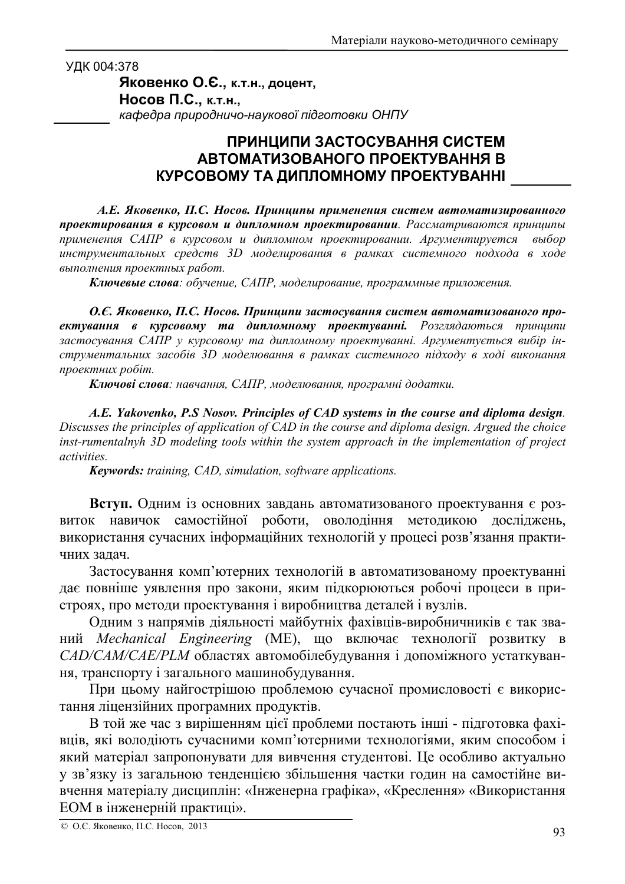УДК 004:378

Яковенко О.Є., к.т.н., доцент, Носов П.С., к.т.н., кафедра природничо-наукової підготовки ОНПУ

## ПРИНЦИПИ ЗАСТОСУВАННЯ СИСТЕМ АВТОМАТИЗОВАНОГО ПРОЕКТУВАННЯ В КУРСОВОМУ ТА ДИПЛОМНОМУ ПРОЕКТУВАННІ

А.Е. Яковенко, П.С. Носов. Принципы применения систем автоматизированного проектирования в курсовом и дипломном проектировании. Рассматриваются принципы применения САПР в курсовом и дипломном проектировании. Аргументируется выбор инструментальных средств 3D моделирования в рамках системного подхода в ходе выполнения проектных работ.

Ключевые слова: обучение, САПР, моделирование, программные приложения.

О.Е. Яковенко, П.С. Носов. Принципи застосування систем автоматизованого проектування в курсовому та дипломному проектуванні. Розглядаються принципи застосування САПР у курсовому та дипломному проектуванні. Аргументується вибір інструментальних засобів 3D моделювання в рамках системного підходу в ході виконання проектних робіт.

Ключові слова: навчання, САПР, моделювання, програмні додатки.

A.E. Yakovenko, P.S Nosov. Principles of CAD systems in the course and diploma design. Discusses the principles of application of CAD in the course and diploma design. Argued the choice  $\frac{1}{2}$  inst-rumentalnyh 3D modeling tools within the system approach in the implementation of project activities.

**Keywords:** training, CAD, simulation, software applications.

Вступ. Одним із основних завдань автоматизованого проектування є розвиток навичок самостійної роботи, оволодіння методикою досліджень, використання сучасних інформаційних технологій у процесі розв'язання практичних задач.

Застосування комп'ютерних технологій в автоматизованому проектуванні дає повніше уявлення про закони, яким підкорюються робочі процеси в пристроях, про методи проектування і виробництва деталей і вузлів.

Одним з напрямів діяльності майбутніх фахівців-виробничників є так званий Mechanical Engineering (ME), що включає технології розвитку в САД/САМ/САЕ/РІМ областях автомобілебудування і допоміжного устаткування, транспорту і загального машинобудування.

При цьому найгострішою проблемою сучасної промисловості є використання ліцензійних програмних продуктів.

В той же час з вирішенням цієї проблеми постають інші - підготовка фахівців, які володіють сучасними комп'ютерними технологіями, яким способом і який матеріал запропонувати для вивчення студентові. Це особливо актуально у зв'язку із загальною тенденцією збільшення частки годин на самостійне вивчення матеріалу дисциплін: «Інженерна графіка», «Креслення» «Використання ЕОМ в інженерній практиці».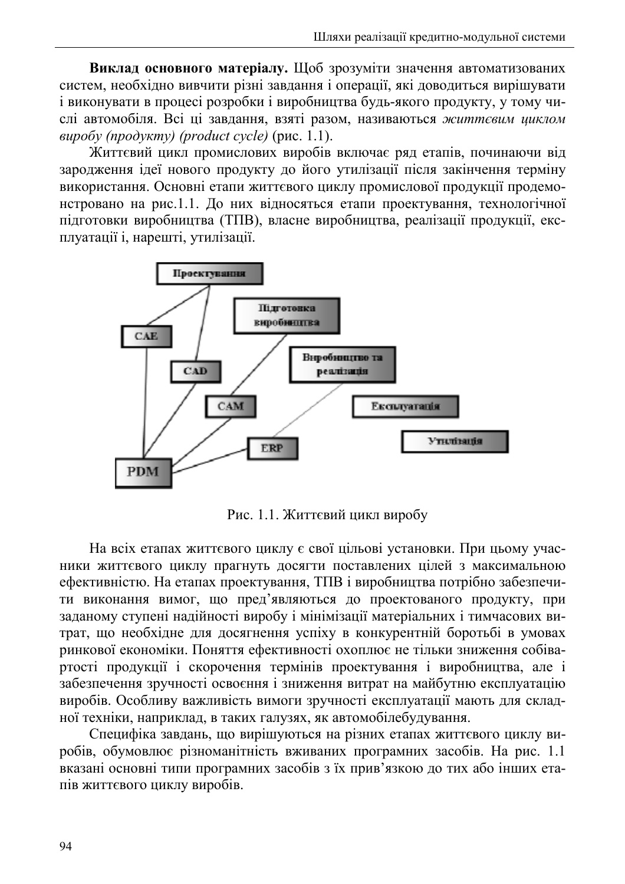Виклад основного матеріалу. Щоб зрозуміти значення автоматизованих систем, необхідно вивчити різні завдання і операції, які доводиться вирішувати і виконувати в процесі розробки і виробництва будь-якого продукту, у тому числі автомобіля. Всі ці завдання, взяті разом, називаються життєвим циклом  $\omega$ <sub>6</sub> (approximation of the product cycle) (puc. 1.1).

Життєвий цикл промислових виробів включає ряд етапів, починаючи від зародження ідеї нового продукту до його утилізації після закінчення терміну використання. Основні етапи життєвого циклу промислової продукції продемонстровано на рис.1.1. До них відносяться етапи проектування, технологічної підготовки виробництва (ТПВ), власне виробництва, реалізації продукції, експлуатації і, нарешті, утилізації.



Рис. 1.1. Життєвий цикл виробу

На всіх етапах життєвого циклу є свої цільові установки. При цьому учасники життєвого циклу прагнуть досягти поставлених цілей з максимальною ефективністю. На етапах проектування, ТПВ і виробництва потрібно забезпечити виконання вимог, що пред'являються до проектованого продукту, при заданому ступені надійності виробу і мінімізації матеріальних і тимчасових витрат, що необхідне для досягнення успіху в конкурентній боротьбі в умовах ринкової економіки. Поняття ефективності охоплює не тільки зниження собівартості продукції і скорочення термінів проектування і виробництва, але і забезпечення зручності освоєння і зниження витрат на майбутню експлуатацію виробів. Особливу важливість вимоги зручності експлуатації мають для складної техніки, наприклад, в таких галузях, як автомобілебудування.

Специфіка завдань, що вирішуються на різних етапах життєвого циклу виробів, обумовлює різноманітність вживаних програмних засобів. На рис. 1.1 вказані основні типи програмних засобів з їх прив'язкою до тих або інших етапів життєвого циклу виробів.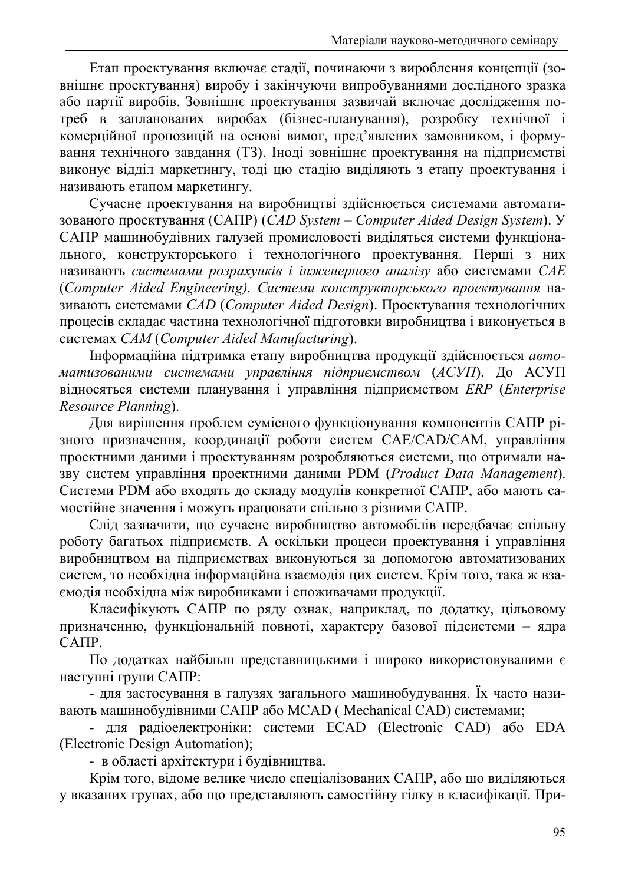Етап проектування включає стадії, починаючи з вироблення концепції (зовнішнє проектування) виробу і закінчуючи випробуваннями дослідного зразка або партії виробів. Зовнішнє проектування зазвичай включає дослідження потреб в запланованих виробах (бізнес-планування), розробку технічної і комерційної пропозицій на основі вимог, пред'явлених замовником, і формування технічного завдання (ТЗ). Іноді зовнішнє проектування на підприємстві виконує відділ маркетингу, тоді цю стадію виділяють з етапу проектування і називають етапом маркетингу.

Сучасне проектування на виробництві здійснюється системами автоматизованого проектування (CAIIP) (*CAD System – Computer Aided Design System*). У САПР машинобудівних галузей промисловості виділяться системи функціонального, конструкторського і технологічного проектування. Перші з них називають *системами розрахунків і інженерного аналізу* або системами САЕ (Computer Aided Engineering). Системи конструкторського проектування називають системами CAD (Computer Aided Design). Проектування технологічних процесів складає частина технологічної підготовки виробництва і виконується в *CAM* (*Computer Aided Manufacturing*).

Інформаційна підтримка етапу виробництва продукції здійснюється авто- $\alpha$  *Mamuзованими системами управління підприємством (АСУП).* До АСУП 
*ERP* (*Enterprise Resource Planning*).

Для вирішення проблем сумісного функціонування компонентів САПР різного призначення, координації роботи систем CAE/CAD/CAM, управління проектними даними і проектуванням розробляються системи, що отримали назву систем управління проектними даними PDM (*Product Data Management*). Системи PDM або входять до складу модулів конкретної САПР, або мають самостійне значення і можуть працювати спільно з різними САПР.

Слід зазначити, що сучасне виробництво автомобілів передбачає спільну роботу багатьох підприємств. А оскільки процеси проектування і управління виробництвом на підприємствах виконуються за допомогою автоматизованих систем, то необхідна інформаційна взаємодія цих систем. Крім того, така ж взаємодія необхідна між виробниками і споживачами продукції.

Класифікують САПР по ряду ознак, наприклад, по додатку, цільовому призначенню, функціональній повноті, характеру базової підсистеми – ядра  $CATIP.$ 

По додатках найбільш представницькими і широко використовуваними  $\epsilon$ наступні групи САПР:

- для застосування в галузях загального машинобудування. Їх часто називають машинобудівними САПР або MCAD (Mechanical CAD) системами;

- для радіоелектроніки: системи ECAD (Electronic CAD) або EDA (Electronic Design Automation);

- в області архітектури і будівництва.

Крім того, відоме велике число спеціалізованих САПР, або що виділяються у вказаних групах, або що представляють самостійну гілку в класифікації. При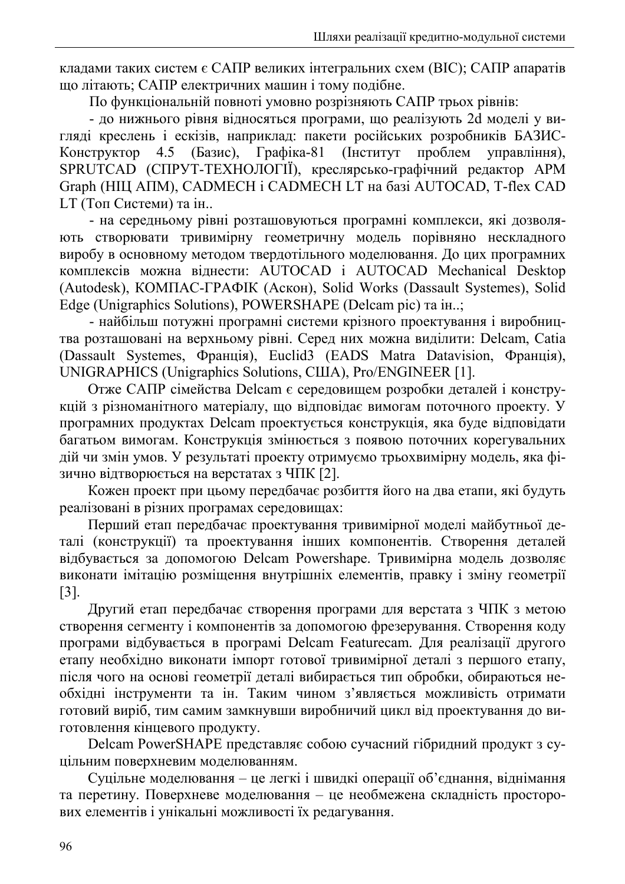кладами таких систем є САПР великих інтегральних схем (ВІС); САПР апаратів що літають; САПР електричних машин і тому подібне.

По функціональній повноті умовно розрізняють САПР трьох рівнів:

- до нижнього рівня відносяться програми, що реалізують 2d моделі у вигляді креслень і ескізів, наприклад: пакети російських розробників БАЗИС-Конструктор 4.5 (Базис), Графіка-81 **(IHCTHTVT)** проблем управління). SPRUTCAD (СПРУТ-ТЕХНОЛОГІЇ), креслярсько-графічний редактор АРМ Graph (НІЦ АПМ), CADMECH і CADMECH LT на базі AUTOCAD, T-flex CAD LT (Топ Системи) та ін..

- на середньому рівні розташовуються програмні комплекси, які дозволяють створювати тривимірну геометричну модель порівняно нескладного виробу в основному методом твердотільного моделювання. До цих програмних комплексів можна віднести: AUTOCAD і AUTOCAD Mechanical Desktop (Autodesk), KOMПAC-ГРАФІК (Аскон), Solid Works (Dassault Systemes), Solid Edge (Unigraphics Solutions), POWERSHAPE (Delcam pic) та ін..;

- найбільш потужні програмні системи крізного проектування і виробництва розташовані на верхньому рівні. Серед них можна виділити: Delcam, Catia (Dassault Systemes, Франція), Euclid<sup>3</sup> (EADS Matra Datavision, Франція), UNIGRAPHICS (Unigraphics Solutions, CIIIA), Pro/ENGINEER [1].

Отже САПР сімейства Delcam є середовищем розробки деталей і конструкцій з різноманітного матеріалу, що відповідає вимогам поточного проекту. У програмних продуктах Delcam проектується конструкція, яка буде відповідати багатьом вимогам. Конструкція змінюється з появою поточних корегувальних дій чи змін умов. У результаті проекту отримуємо трьохвимірну модель, яка фізично відтворюється на верстатах з ЧПК [2].

Кожен проект при цьому передбачає розбиття його на два етапи, які будуть реалізовані в різних програмах середовищах:

Перший етап передбачає проектування тривимірної моделі майбутньої деталі (конструкції) та проектування інших компонентів. Створення деталей відбувається за допомогою Delcam Powershape. Тривимірна модель дозволяє виконати імітацію розміщення внутрішніх елементів, правку і зміну геометрії  $\lceil 3 \rceil$ .

Другий етап передбачає створення програми для верстата з ЧПК з метою створення сегменту і компонентів за допомогою фрезерування. Створення коду програми відбувається в програмі Delcam Featurecam. Для реалізації другого етапу необхідно виконати імпорт готової тривимірної деталі з першого етапу, після чого на основі геометрії деталі вибирається тип обробки, обираються необхідні інструменти та ін. Таким чином з'являється можливість отримати готовий виріб, тим самим замкнувши виробничий цикл від проектування до виготовлення кінцевого продукту.

Delcam PowerSHAPE представляє собою сучасний гібридний продукт з суцільним поверхневим моделюванням.

Суцільне моделювання - це легкі і швидкі операції об'єднання, віднімання та перетину. Поверхневе моделювання - це необмежена складність просторових елементів і унікальні можливості їх редагування.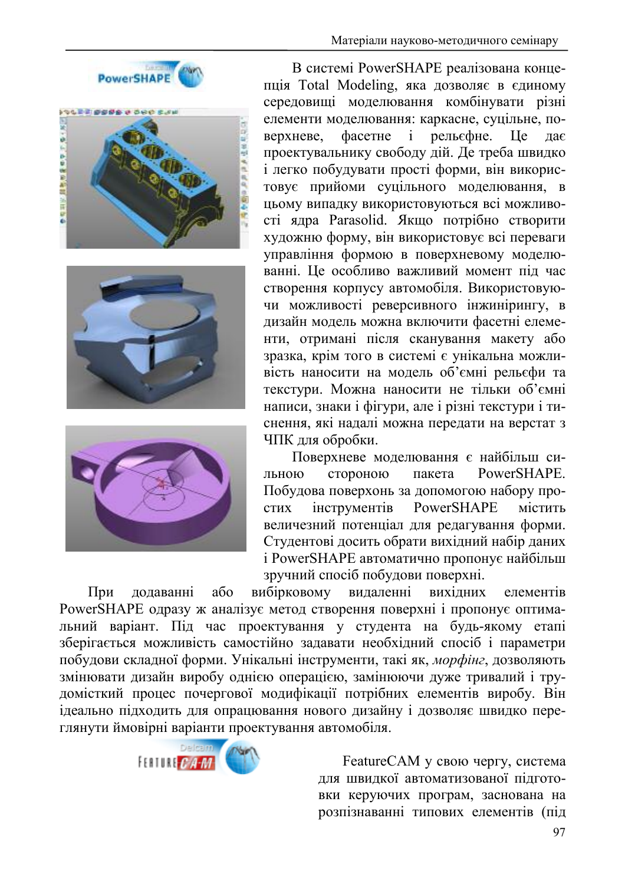







В системі PowerSHAPE реалізована концепція Total Modeling, яка дозволяє в єдиному середовищі моделювання комбінувати різні елементи моделювання: каркасне, суцільне, поверхневе.  $\phi$ асетне  $\dot{1}$ рельєфне. I Ie лає проектувальнику свободу дій. Де треба швидко і легко побудувати прості форми, він використовує прийоми суцільного моделювання, в цьому випадку використовуються всі можливості ядра Parasolid. Якщо потрібно створити художню форму, він використовує всі переваги управління формою в поверхневому моделюванні. Це особливо важливий момент під час створення корпусу автомобіля. Використовуючи можливості реверсивного інжинірингу, в дизайн модель можна включити фасетні елементи, отримані після сканування макету або зразка, крім того в системі є унікальна можливість наносити на модель об'ємні рельєфи та текстури. Можна наносити не тільки об'ємні написи, знаки і фігури, але і різні текстури і тиснення, які надалі можна передати на верстат з ЧПК для обробки.

Поверхневе моделювання є найбільш систороною PowerSHAPE. льною пакета Побудова поверхонь за допомогою набору проінструментів PowerSHAPE **СТИХ** містить величезний потенціал для редагування форми. Студентові досить обрати вихідний набір даних і PowerSHAPE автоматично пропонує найбільш зручний спосіб побудови поверхні.

 $a\overline{0}$ вибірковому видаленні вихідних При додаванні елементів PowerSHAPE одразу ж аналізує метод створення поверхні і пропонує оптимальний варіант. Під час проектування у студента на будь-якому етапі зберігається можливість самостійно задавати необхідний спосіб і параметри побудови складної форми. Унікальні інструменти, такі як, морфінг, дозволяють змінювати дизайн виробу однією операцією, замінюючи дуже тривалий і трудомісткий процес почергової модифікації потрібних елементів виробу. Він ідеально підходить для опрацювання нового дизайну і дозволяє швидко переглянути ймовірні варіанти проектування автомобіля.



FeatureCAM у свою чергу, система лля швидкої автоматизованої підготовки керуючих програм, заснована на розпізнаванні типових елементів (під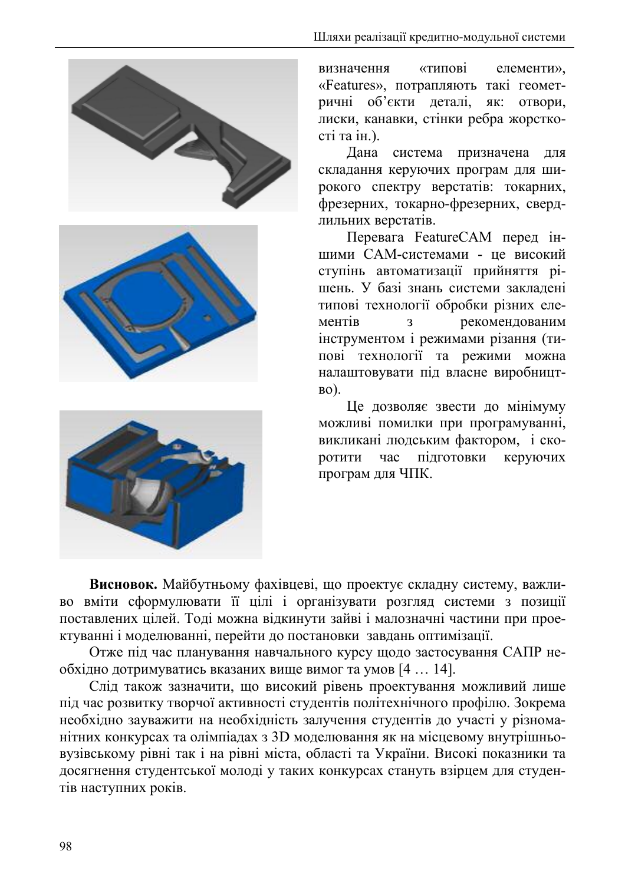





визначення «типові елементи». «Features», потрапляють такі геометричні об'єкти деталі, як: отвори, лиски, канавки, стінки ребра жорсткості та ін.).

Дана система призначена для складання керуючих програм для широкого спектру верстатів: токарних, фрезерних, токарно-фрезерних, свердлильних верстатів.

Перевага FeatureCAM перед іншими САМ-системами - це високий ступінь автоматизації прийняття рішень. У базі знань системи закладені типові технології обробки різних елерекомендованим ментів  $\overline{3}$ інструментом і режимами різання (типові технології та режими можна налаштовувати під власне виробницт- $RO$ ).

Це дозволяє звести до мінімуму можливі помилки при програмуванні, викликані людським фактором, і скоротити час пілготовки керуючих програм для ЧПК.

Висновок. Майбутньому фахівцеві, що проектує складну систему, важливо вміти сформулювати її цілі і організувати розгляд системи з позиції поставлених цілей. Тоді можна відкинути зайві і малозначні частини при проектуванні і моделюванні, перейти до постановки завдань оптимізації.

Отже під час планування навчального курсу щодо застосування САПР необхідно дотримуватись вказаних вище вимог та умов [4 ... 14].

Слід також зазначити, що високий рівень проектування можливий лише під час розвитку творчої активності студентів політехнічного профілю. Зокрема необхідно зауважити на необхідність залучення студентів до участі у різноманітних конкурсах та олімпіадах з 3D моделювання як на місцевому внутрішньовузівському рівні так і на рівні міста, області та України. Високі показники та досягнення студентської молоді у таких конкурсах стануть взірцем для студентів наступних років.